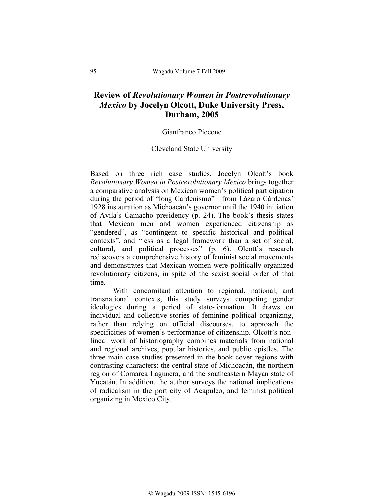## **Review of** *Revolutionary Women in Postrevolutionary Mexico* **by Jocelyn Olcott, Duke University Press, Durham, 2005**

## Gianfranco Piccone

## Cleveland State University

Based on three rich case studies, Jocelyn Olcott's book *Revolutionary Women in Postrevolutionary Mexico* brings together a comparative analysis on Mexican women's political participation during the period of "long Cardenismo"—from Lázaro Cárdenas' 1928 instauration as Michoacán's governor until the 1940 initiation of Avila's Camacho presidency (p. 24). The book's thesis states that Mexican men and women experienced citizenship as "gendered", as "contingent to specific historical and political contexts", and "less as a legal framework than a set of social, cultural, and political processes" (p. 6). Olcott's research rediscovers a comprehensive history of feminist social movements and demonstrates that Mexican women were politically organized revolutionary citizens, in spite of the sexist social order of that time.

With concomitant attention to regional, national, and transnational contexts, this study surveys competing gender ideologies during a period of state-formation. It draws on individual and collective stories of feminine political organizing, rather than relying on official discourses, to approach the specificities of women's performance of citizenship. Olcott's nonlineal work of historiography combines materials from national and regional archives, popular histories, and public epistles. The three main case studies presented in the book cover regions with contrasting characters: the central state of Michoacán, the northern region of Comarca Lagunera, and the southeastern Mayan state of Yucatán. In addition, the author surveys the national implications of radicalism in the port city of Acapulco, and feminist political organizing in Mexico City.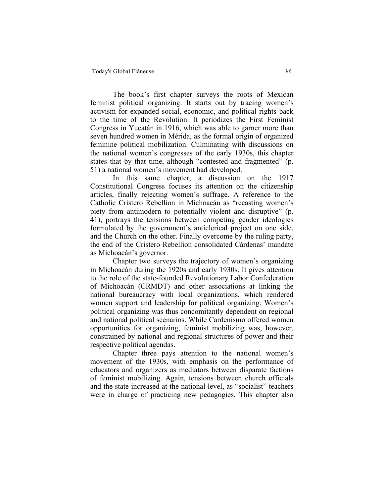The book's first chapter surveys the roots of Mexican feminist political organizing. It starts out by tracing women's activism for expanded social, economic, and political rights back to the time of the Revolution. It periodizes the First Feminist Congress in Yucatán in 1916, which was able to garner more than seven hundred women in Mérida, as the formal origin of organized feminine political mobilization. Culminating with discussions on the national women's congresses of the early 1930s, this chapter states that by that time, although "contested and fragmented" (p. 51) a national women's movement had developed.

In this same chapter, a discussion on the 1917 Constitutional Congress focuses its attention on the citizenship articles, finally rejecting women's suffrage. A reference to the Catholic Cristero Rebellion in Michoacán as "recasting women's piety from antimodern to potentially violent and disruptive" (p. 41), portrays the tensions between competing gender ideologies formulated by the government's anticlerical project on one side, and the Church on the other. Finally overcome by the ruling party, the end of the Cristero Rebellion consolidated Cárdenas' mandate as Michoacán's governor.

Chapter two surveys the trajectory of women's organizing in Michoacán during the 1920s and early 1930s. It gives attention to the role of the state-founded Revolutionary Labor Confederation of Michoacán (CRMDT) and other associations at linking the national bureaucracy with local organizations, which rendered women support and leadership for political organizing. Women's political organizing was thus concomitantly dependent on regional and national political scenarios. While Cardenismo offered women opportunities for organizing, feminist mobilizing was, however, constrained by national and regional structures of power and their respective political agendas.

Chapter three pays attention to the national women's movement of the 1930s, with emphasis on the performance of educators and organizers as mediators between disparate factions of feminist mobilizing. Again, tensions between church officials and the state increased at the national level, as "socialist" teachers were in charge of practicing new pedagogies. This chapter also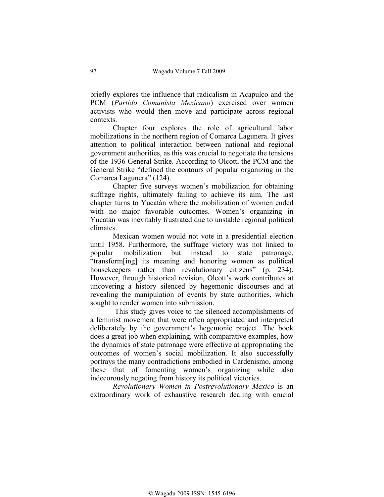briefly explores the influence that radicalism in Acapulco and the PCM (*Partido Comunista Mexicano*) exercised over women activists who would then move and participate across regional contexts.

Chapter four explores the role of agricultural labor mobilizations in the northern region of Comarca Lagunera. It gives attention to political interaction between national and regional government authorities, as this was crucial to negotiate the tensions of the 1936 General Strike. According to Olcott, the PCM and the General Strike "defined the contours of popular organizing in the Comarca Lagunera" (124).

Chapter five surveys women's mobilization for obtaining suffrage rights, ultimately failing to achieve its aim. The last chapter turns to Yucatán where the mobilization of women ended with no major favorable outcomes. Women's organizing in Yucatán was inevitably frustrated due to unstable regional political climates.

Mexican women would not vote in a presidential election until 1958. Furthermore, the suffrage victory was not linked to popular mobilization but instead to state patronage, "transform[ing] its meaning and honoring women as political housekeepers rather than revolutionary citizens" (p. 234). However, through historical revision, Olcott's work contributes at uncovering a history silenced by hegemonic discourses and at revealing the manipulation of events by state authorities, which sought to render women into submission.

 This study gives voice to the silenced accomplishments of a feminist movement that were often appropriated and interpreted deliberately by the government's hegemonic project. The book does a great job when explaining, with comparative examples, how the dynamics of state patronage were effective at appropriating the outcomes of women's social mobilization. It also successfully portrays the many contradictions embodied in Cardenismo, among these that of fomenting women's organizing while also indecorously negating from history its political victories.

*Revolutionary Women in Postrevolutionary Mexico* is an extraordinary work of exhaustive research dealing with crucial